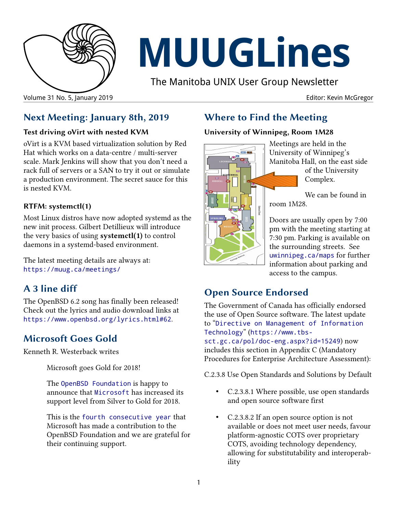

# **MUUGLines**

The Manitoba UNIX User Group Newsletter

## **Next Meeting: January 8th, 2019**

#### **Test driving oVirt with nested KVM**

oVirt is a KVM based virtualization solution by Red Hat which works on a data-centre / multi-server scale. Mark Jenkins will show that you don't need a rack full of servers or a SAN to try it out or simulate a production environment. The secret sauce for this is nested KVM.

#### **RTFM: systemctl(1)**

Most Linux distros have now adopted systemd as the new init process. Gilbert Detillieux will introduce the very basics of using **systemctl(1)** to control daemons in a systemd-based environment.

The latest meeting details are always at: <https://muug.ca/meetings/>

#### **A 3 line diff**

The OpenBSD 6.2 song has finally been released! Check out the lyrics and audio download links at <https://www.openbsd.org/lyrics.html#62>.

#### **Microsoft Goes Gold**

Kenneth R. Westerback writes

Microsoft goes Gold for 2018!

The [OpenBSD Foundation](https://www.openbsdfoundation.org/) is happy to announce that [Microsoft](https://www.microsoft.com/) has increased its support level from Silver to Gold for 2018.

This is the [fourth consecutive year](https://www.openbsdfoundation.org/contributors.html) that Microsoft has made a contribution to the OpenBSD Foundation and we are grateful for their continuing support.

#### **Where to Find the Meeting**

#### **University of Winnipeg, Room 1M28**



Meetings are held in the University of Winnipeg's Manitoba Hall, on the east side of the University Complex.

We can be found in room 1M28.

Doors are usually open by 7:00 pm with the meeting starting at 7:30 pm. Parking is available on the surrounding streets. See [uwinnipeg.ca/maps](http://www.uwinnipeg.ca/maps) for further information about parking and access to the campus.

#### **Open Source Endorsed**

The Government of Canada has officially endorsed the use of Open Source software. The latest update to "[Directive on Management of Information](https://www.tbs-sct.gc.ca/pol/doc-eng.aspx?id=15249)  [Technology](https://www.tbs-sct.gc.ca/pol/doc-eng.aspx?id=15249)" ([https://www.tbs](https://www.tbs-sct.gc.ca/pol/doc-eng.aspx?id=15249)[sct.gc.ca/pol/doc-eng.aspx?id=15249](https://www.tbs-sct.gc.ca/pol/doc-eng.aspx?id=15249)) now includes this section in Appendix C (Mandatory Procedures for Enterprise Architecture Assessment):

C.2.3.8 Use Open Standards and Solutions by Default

- C.2.3.8.1 Where possible, use open standards and open source software first
- C.2.3.8.2 If an open source option is not available or does not meet user needs, favour platform-agnostic COTS over proprietary COTS, avoiding technology dependency, allowing for substitutability and interoperability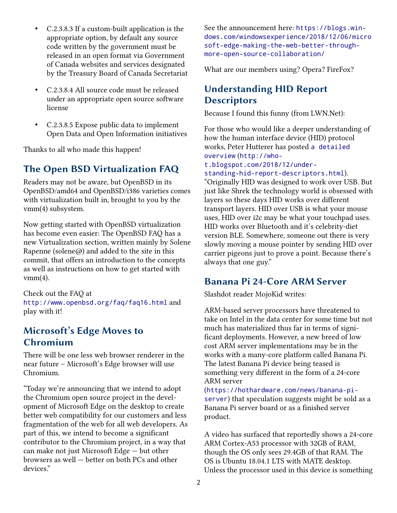- C.2.3.8.3 If a custom-built application is the appropriate option, by default any source code written by the government must be released in an open format via Government of Canada websites and services designated by the Treasury Board of Canada Secretariat
- C.2.3.8.4 All source code must be released under an appropriate open source software license
- C.2.3.8.5 Expose public data to implement Open Data and Open Information initiatives

Thanks to all who made this happen!

#### **The Open BSD Virtualization FAQ**

Readers may not be aware, but OpenBSD in its OpenBSD/amd64 and OpenBSD/i386 varieties comes with virtualization built in, brought to you by the vmm(4) subsystem.

Now getting started with OpenBSD virtualization has become even easier: The OpenBSD FAQ has a new Virtualization section, written mainly by Solene Rapenne (solene@) and added to the site in this commit, that offers an introduction to the concepts as well as instructions on how to get started with  $vmm(4)$ .

Check out the FAQ at <http://www.openbsd.org/faq/faq16.html> and play with it!

#### **Microsoft's Edge Moves to Chromium**

There will be one less web browser renderer in the near future – Microsoft's Edge browser will use Chromium.

"Today we're announcing that we intend to adopt the Chromium open source project in the development of Microsoft Edge on the desktop to create better web compatibility for our customers and less fragmentation of the web for all web developers. As part of this, we intend to become a significant contributor to the Chromium project, in a way that can make not just Microsoft Edge — but other browsers as well — better on both PCs and other devices."

See the announcement here: [https://blogs.win](https://blogs.windows.com/windowsexperience/2018/12/06/microsoft-edge-making-the-web-better-through-more-open-source-collaboration/)[dows.com/windowsexperience/2018/12/06/micro](https://blogs.windows.com/windowsexperience/2018/12/06/microsoft-edge-making-the-web-better-through-more-open-source-collaboration/) soft-edge-making-the-web-better-through[more-open-source-collaboration/](https://blogs.windows.com/windowsexperience/2018/12/06/microsoft-edge-making-the-web-better-through-more-open-source-collaboration/)

What are our members using? Opera? FireFox?

#### **Understanding HID Report Descriptors**

Because I found this funny (from LWN.Net):

For those who would like a deeper understanding of how the human interface device (HID) protocol works, Peter Hutterer has posted [a detailed](http://who-t.blogspot.com/2018/12/understanding-hid-report-descriptors.html)  [overview](http://who-t.blogspot.com/2018/12/understanding-hid-report-descriptors.html) ([http://who-](http://who-t.blogspot.com/2018/12/understanding-hid-report-descriptors.html)

[t.blogspot.com/2018/12/under](http://who-t.blogspot.com/2018/12/understanding-hid-report-descriptors.html)[standing-hid-report-descriptors.html](http://who-t.blogspot.com/2018/12/understanding-hid-report-descriptors.html)).

"Originally HID was designed to work over USB. But just like Shrek the technology world is obsessed with layers so these days HID works over different transport layers. HID over USB is what your mouse uses, HID over i2c may be what your touchpad uses. HID works over Bluetooth and it's celebrity-diet version BLE. Somewhere, someone out there is very slowly moving a mouse pointer by sending HID over carrier pigeons just to prove a point. Because there's always that one guy."

#### **Banana Pi 24-Core ARM Server**

Slashdot reader MojoKid writes:

ARM-based server processors have threatened to take on Intel in the data center for some time but not much has materialized thus far in terms of significant deployments. However, a new breed of low cost ARM server implementations may be in the works with a many-core platform called Banana Pi. The latest Banana Pi device being teased is something very different in the form of a 24-core ARM server

([https://hothardware.com/news/banana-pi](https://hothardware.com/news/banana-pi-server)[server](https://hothardware.com/news/banana-pi-server)) that speculation suggests might be sold as a Banana Pi server board or as a finished server product.

A video has surfaced that reportedly shows a 24-core ARM Cortex-A53 processor with 32GB of RAM, though the OS only sees 29.4GB of that RAM. The OS is Ubuntu 18.04.1 LTS with MATE desktop. Unless the processor used in this device is something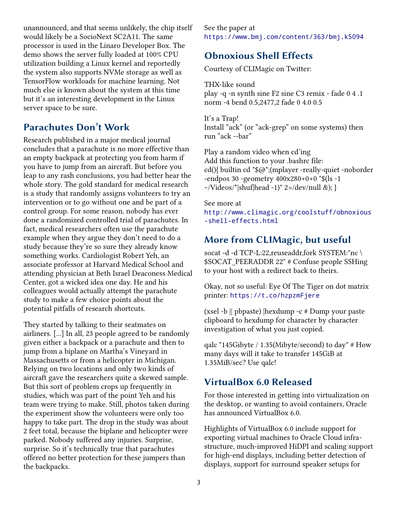unannounced, and that seems unlikely, the chip itself would likely be a SocioNext SC2A11. The same processor is used in the Linaro Developer Box. The demo shows the server fully loaded at 100% CPU utilization building a Linux kernel and reportedly the system also supports NVMe storage as well as TensorFlow workloads for machine learning. Not much else is known about the system at this time but it's an interesting development in the Linux server space to be sure.

#### **Parachutes Don't Work**

Research published in a major medical journal concludes that a parachute is no more effective than an empty backpack at protecting you from harm if you have to jump from an aircraft. But before you leap to any rash conclusions, you had better hear the whole story. The gold standard for medical research is a study that randomly assigns volunteers to try an intervention or to go without one and be part of a control group. For some reason, nobody has ever done a randomized controlled trial of parachutes. In fact, medical researchers often use the parachute example when they argue they don't need to do a study because they're so sure they already know something works. Cardiologist Robert Yeh, an associate professor at Harvard Medical School and attending physician at Beth Israel Deaconess Medical Center, got a wicked idea one day. He and his colleagues would actually attempt the parachute study to make a few choice points about the potential pitfalls of research shortcuts.

They started by talking to their seatmates on airliners. [...] In all, 23 people agreed to be randomly given either a backpack or a parachute and then to jump from a biplane on Martha's Vineyard in Massachusetts or from a helicopter in Michigan. Relying on two locations and only two kinds of aircraft gave the researchers quite a skewed sample. But this sort of problem crops up frequently in studies, which was part of the point Yeh and his team were trying to make. Still, photos taken during the experiment show the volunteers were only too happy to take part. The drop in the study was about 2 feet total, because the biplane and helicopter were parked. Nobody suffered any injuries. Surprise, surprise. So it's technically true that parachutes offered no better protection for these jumpers than the backpacks.

See the paper at <https://www.bmj.com/content/363/bmj.k5094>

## **Obnoxious Shell Effects**

Courtesy of CLIMagic on Twitter:

THX-like sound play -q -n synth sine F2 sine C3 remix - fade 0 4 .1 norm -4 bend 0.5,2477,2 fade 0 4.0 0.5

It's a Trap! Install "ack" (or "ack-grep" on some systems) then run "ack --bar"

Play a random video when cd'ing Add this function to your .bashrc file: cd(){ builtin cd "\$@";(mplayer -really-quiet -noborder -endpos 30 -geometry 400x280+0+0 "\$(ls -1  $\sim$ /Videos/\*|shuf|head -1)" 2>/dev/null &); }

See more at [http://www.climagic.org/coolstuff/obnoxious](http://www.climagic.org/coolstuff/obnoxious-shell-effects.html) [-shell-effects.html](http://www.climagic.org/coolstuff/obnoxious-shell-effects.html)

#### **More from CLIMagic, but useful**

socat -d -d TCP-L:22,reuseaddr,fork SYSTEM:"nc \ \$SOCAT\_PEERADDR 22" # Confuse people SSHing to your host with a redirect back to theirs.

Okay, not so useful: Eye Of The Tiger on dot matrix printer: <https://t.co/hzpzmFjere>

(xsel -b || pbpaste) |hexdump -c # Dump your paste clipboard to hexdump for character by character investigation of what you just copied.

qalc "145Gibyte / 1.35(Mibyte/second) to day" # How many days will it take to transfer 145GiB at 1.35MiB/sec? Use qalc!

#### **VirtualBox 6.0 Released**

For those interested in getting into virtualization on the desktop, or wanting to avoid containers, Oracle has announced VirtualBox 6.0.

Highlights of VirtualBox 6.0 include support for exporting virtual machines to Oracle Cloud infrastructure, much-improved HiDPI and scaling support for high-end displays, including better detection of displays, support for surround speaker setups for